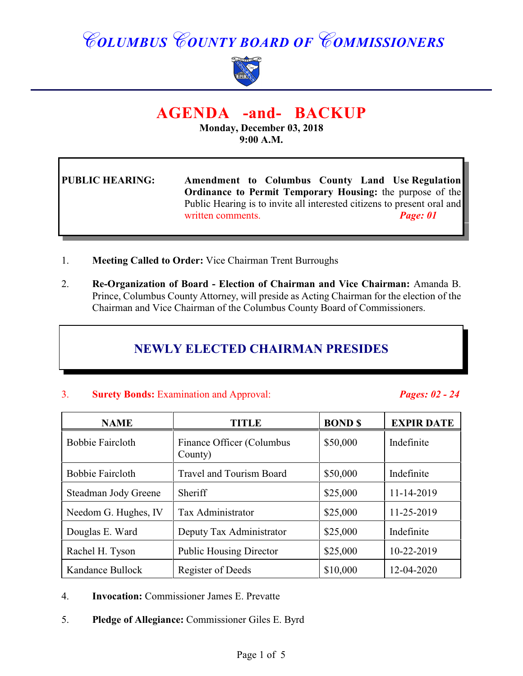# *COLUMBUS COUNTY BOARD OF COMMISSIONERS*



## **AGENDA -and- BACKUP**

**Monday, December 03, 2018 9:00 A.M.**

**PUBLIC HEARING: Amendment to Columbus County Land Use Regulation Ordinance to Permit Temporary Housing:** the purpose of the Public Hearing is to invite all interested citizens to present oral and written comments. **Page: 01** 

- 1. **Meeting Called to Order:** Vice Chairman Trent Burroughs
- 2. **Re-Organization of Board Election of Chairman and Vice Chairman:** Amanda B. Prince, Columbus County Attorney, will preside as Acting Chairman for the election of the Chairman and Vice Chairman of the Columbus County Board of Commissioners.

### **NEWLY ELECTED CHAIRMAN PRESIDES**

#### 3. **Surety Bonds:** Examination and Approval: *Pages: 02 - 24*

| <b>NAME</b>             | <b>TITLE</b>                         | <b>BOND</b> \$ | <b>EXPIR DATE</b> |
|-------------------------|--------------------------------------|----------------|-------------------|
| <b>Bobbie Faircloth</b> | Finance Officer (Columbus<br>County) | \$50,000       | Indefinite        |
| <b>Bobbie Faircloth</b> | Travel and Tourism Board             | \$50,000       | Indefinite        |
| Steadman Jody Greene    | Sheriff                              | \$25,000       | 11-14-2019        |
| Needom G. Hughes, IV    | Tax Administrator                    | \$25,000       | 11-25-2019        |
| Douglas E. Ward         | Deputy Tax Administrator             | \$25,000       | Indefinite        |
| Rachel H. Tyson         | <b>Public Housing Director</b>       | \$25,000       | 10-22-2019        |
| Kandance Bullock        | Register of Deeds                    | \$10,000       | 12-04-2020        |

- 4. **Invocation:** Commissioner James E. Prevatte
- 5. **Pledge of Allegiance:** Commissioner Giles E. Byrd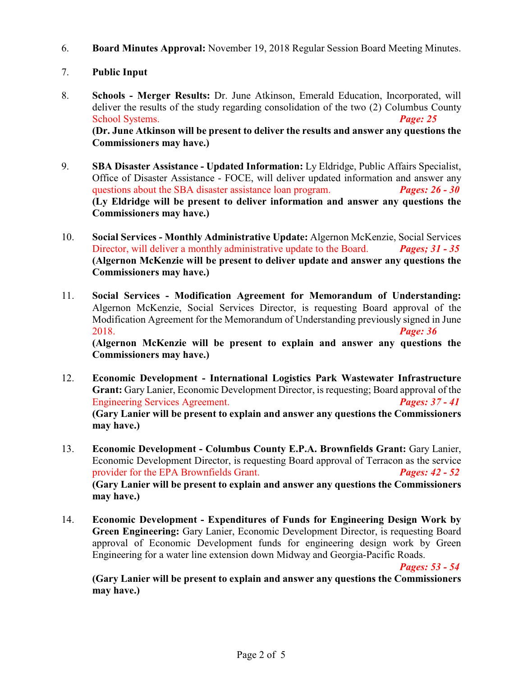- 6. **Board Minutes Approval:** November 19, 2018 Regular Session Board Meeting Minutes.
- 7. **Public Input**
- 8. **Schools - Merger Results:** Dr. June Atkinson, Emerald Education, Incorporated, will deliver the results of the study regarding consolidation of the two (2) Columbus County School Systems. *Page: 25* **(Dr. June Atkinson will be present to deliver the results and answer any questions the Commissioners may have.)**
- 9. **SBA Disaster Assistance Updated Information:** Ly Eldridge, Public Affairs Specialist, Office of Disaster Assistance - FOCE, will deliver updated information and answer any questions about the SBA disaster assistance loan program. *Pages: 26 - 30* **(Ly Eldridge will be present to deliver information and answer any questions the Commissioners may have.)**
- 10. **Social Services Monthly Administrative Update:** Algernon McKenzie, Social Services Director, will deliver a monthly administrative update to the Board. *Pages; 31 - 35* **(Algernon McKenzie will be present to deliver update and answer any questions the Commissioners may have.)**
- 11. **Social Services Modification Agreement for Memorandum of Understanding:** Algernon McKenzie, Social Services Director, is requesting Board approval of the Modification Agreement for the Memorandum of Understanding previously signed in June 2018. *Page: 36* **(Algernon McKenzie will be present to explain and answer any questions the Commissioners may have.)**
- 12. **Economic Development International Logistics Park Wastewater Infrastructure Grant:** Gary Lanier, Economic Development Director, is requesting; Board approval of the Engineering Services Agreement. *Pages: 37 - 41* **(Gary Lanier will be present to explain and answer any questions the Commissioners may have.)**
- 13. **Economic Development Columbus County E.P.A. Brownfields Grant:** Gary Lanier, Economic Development Director, is requesting Board approval of Terracon as the service provider for the EPA Brownfields Grant. *Pages: 42 - 52* **(Gary Lanier will be present to explain and answer any questions the Commissioners may have.)**
- 14. **Economic Development Expenditures of Funds for Engineering Design Work by Green Engineering:** Gary Lanier, Economic Development Director, is requesting Board approval of Economic Development funds for engineering design work by Green Engineering for a water line extension down Midway and Georgia-Pacific Roads.

*Pages: 53 - 54*

**(Gary Lanier will be present to explain and answer any questions the Commissioners may have.)**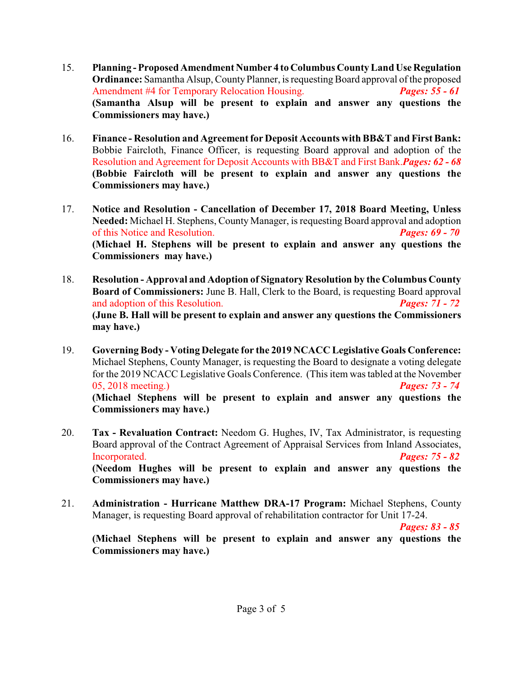- 15. **Planning Proposed Amendment Number 4 to Columbus County Land Use Regulation Ordinance:** Samantha Alsup, County Planner, is requesting Board approval of the proposed Amendment #4 for Temporary Relocation Housing. *Pages: 55 - 61* **(Samantha Alsup will be present to explain and answer any questions the Commissioners may have.)**
- 16. **Finance Resolution and Agreement for Deposit Accounts with BB&T and First Bank:** Bobbie Faircloth, Finance Officer, is requesting Board approval and adoption of the Resolution and Agreement for Deposit Accounts with BB&T and First Bank.*Pages: 62 - 68* **(Bobbie Faircloth will be present to explain and answer any questions the Commissioners may have.)**
- 17. **Notice and Resolution Cancellation of December 17, 2018 Board Meeting, Unless Needed:** Michael H. Stephens, County Manager, is requesting Board approval and adoption of this Notice and Resolution. *Pages: 69 - 70* **(Michael H. Stephens will be present to explain and answer any questions the Commissioners may have.)**
- 18. **Resolution Approval and Adoption of Signatory Resolution by the Columbus County Board of Commissioners:** June B. Hall, Clerk to the Board, is requesting Board approval and adoption of this Resolution. *Pages: 71 - 72* **(June B. Hall will be present to explain and answer any questions the Commissioners may have.)**
- 19. **Governing Body Voting Delegate for the 2019 NCACC Legislative Goals Conference:** Michael Stephens, County Manager, is requesting the Board to designate a voting delegate for the 2019 NCACC Legislative Goals Conference. (This item was tabled at the November 05, 2018 meeting.)<br> **Pages:** 73 - 74 05, 2018 meeting.) **(Michael Stephens will be present to explain and answer any questions the Commissioners may have.)**
- 20. **Tax Revaluation Contract:** Needom G. Hughes, IV, Tax Administrator, is requesting Board approval of the Contract Agreement of Appraisal Services from Inland Associates, Incorporated. *Pages: 75 - 82* **(Needom Hughes will be present to explain and answer any questions the Commissioners may have.)**
- 21. **Administration Hurricane Matthew DRA-17 Program:** Michael Stephens, County Manager, is requesting Board approval of rehabilitation contractor for Unit 17-24.

*Pages: 83 - 85*

**(Michael Stephens will be present to explain and answer any questions the Commissioners may have.)**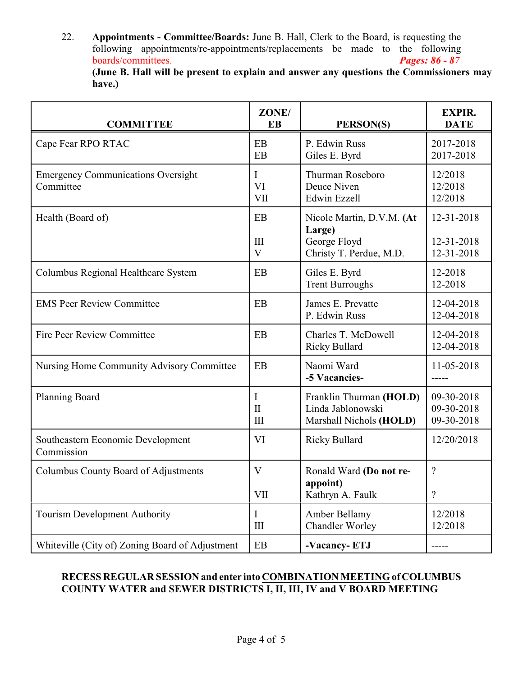22. **Appointments - Committee/Boards:** June B. Hall, Clerk to the Board, is requesting the following appointments/re-appointments/replacements be made to the following boards/committees.<br> $Pages: 86 - 87$ boards/committees.

**(June B. Hall will be present to explain and answer any questions the Commissioners may have.)**

| <b>COMMITTEE</b>                                       | ZONE/<br>EB                                                | PERSON(S)                                                                      | <b>EXPIR.</b><br><b>DATE</b>                         |
|--------------------------------------------------------|------------------------------------------------------------|--------------------------------------------------------------------------------|------------------------------------------------------|
| Cape Fear RPO RTAC                                     | EB<br>EB                                                   | P. Edwin Russ<br>Giles E. Byrd                                                 | 2017-2018<br>2017-2018                               |
| <b>Emergency Communications Oversight</b><br>Committee | I<br>VI<br><b>VII</b>                                      | Thurman Roseboro<br>Deuce Niven<br>Edwin Ezzell                                | 12/2018<br>12/2018<br>12/2018                        |
| Health (Board of)                                      | EB<br>III<br>$\mathbf{V}$                                  | Nicole Martin, D.V.M. (At<br>Large)<br>George Floyd<br>Christy T. Perdue, M.D. | 12-31-2018<br>12-31-2018<br>12-31-2018               |
| Columbus Regional Healthcare System                    | EB                                                         | Giles E. Byrd<br><b>Trent Burroughs</b>                                        | 12-2018<br>12-2018                                   |
| <b>EMS Peer Review Committee</b>                       | EB                                                         | James E. Prevatte<br>P. Edwin Russ                                             | 12-04-2018<br>12-04-2018                             |
| Fire Peer Review Committee                             | EB                                                         | Charles T. McDowell<br><b>Ricky Bullard</b>                                    | 12-04-2018<br>12-04-2018                             |
| Nursing Home Community Advisory Committee              | EB                                                         | Naomi Ward<br>-5 Vacancies-                                                    | 11-05-2018                                           |
| Planning Board                                         | $\mathbf I$<br>$\mathbf{I}$<br>$\mathop{\rm III}\nolimits$ | Franklin Thurman (HOLD)<br>Linda Jablonowski<br>Marshall Nichols (HOLD)        | 09-30-2018<br>09-30-2018<br>09-30-2018               |
| Southeastern Economic Development<br>Commission        | VI                                                         | <b>Ricky Bullard</b>                                                           | 12/20/2018                                           |
| Columbus County Board of Adjustments                   | V<br><b>VII</b>                                            | Ronald Ward (Do not re-<br>appoint)<br>Kathryn A. Faulk                        | $\overline{\mathcal{L}}$<br>$\overline{\mathcal{L}}$ |
| <b>Tourism Development Authority</b>                   | I<br>$\rm III$                                             | Amber Bellamy<br>Chandler Worley                                               | 12/2018<br>12/2018                                   |
| Whiteville (City of) Zoning Board of Adjustment        | EB                                                         | -Vacancy-ETJ                                                                   | -----                                                |

#### **RECESS REGULAR SESSION and enter into COMBINATION MEETING of COLUMBUS COUNTY WATER and SEWER DISTRICTS I, II, III, IV and V BOARD MEETING**